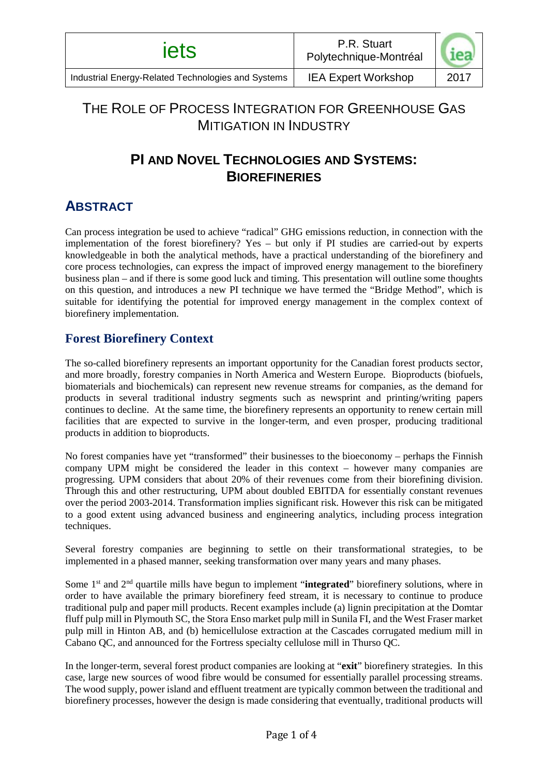# THE ROLE OF PROCESS INTEGRATION FOR GREENHOUSE GAS MITIGATION IN INDUSTRY

# **PI AND NOVEL TECHNOLOGIES AND SYSTEMS: BIOREFINERIES**

### **ABSTRACT**

Can process integration be used to achieve "radical" GHG emissions reduction, in connection with the implementation of the forest biorefinery? Yes – but only if PI studies are carried-out by experts knowledgeable in both the analytical methods, have a practical understanding of the biorefinery and core process technologies, can express the impact of improved energy management to the biorefinery business plan – and if there is some good luck and timing. This presentation will outline some thoughts on this question, and introduces a new PI technique we have termed the "Bridge Method", which is suitable for identifying the potential for improved energy management in the complex context of biorefinery implementation.

### **Forest Biorefinery Context**

The so-called biorefinery represents an important opportunity for the Canadian forest products sector, and more broadly, forestry companies in North America and Western Europe. Bioproducts (biofuels, biomaterials and biochemicals) can represent new revenue streams for companies, as the demand for products in several traditional industry segments such as newsprint and printing/writing papers continues to decline. At the same time, the biorefinery represents an opportunity to renew certain mill facilities that are expected to survive in the longer-term, and even prosper, producing traditional products in addition to bioproducts.

No forest companies have yet "transformed" their businesses to the bioeconomy – perhaps the Finnish company UPM might be considered the leader in this context – however many companies are progressing. UPM considers that about 20% of their revenues come from their biorefining division. Through this and other restructuring, UPM about doubled EBITDA for essentially constant revenues over the period 2003-2014. Transformation implies significant risk. However this risk can be mitigated to a good extent using advanced business and engineering analytics, including process integration techniques.

Several forestry companies are beginning to settle on their transformational strategies, to be implemented in a phased manner, seeking transformation over many years and many phases.

Some 1st and 2nd quartile mills have begun to implement "**integrated**" biorefinery solutions, where in order to have available the primary biorefinery feed stream, it is necessary to continue to produce traditional pulp and paper mill products. Recent examples include (a) lignin precipitation at the Domtar fluff pulp mill in Plymouth SC, the Stora Enso market pulp mill in Sunila FI, and the West Fraser market pulp mill in Hinton AB, and (b) hemicellulose extraction at the Cascades corrugated medium mill in Cabano QC, and announced for the Fortress specialty cellulose mill in Thurso QC.

In the longer-term, several forest product companies are looking at "**exit**" biorefinery strategies. In this case, large new sources of wood fibre would be consumed for essentially parallel processing streams. The wood supply, power island and effluent treatment are typically common between the traditional and biorefinery processes, however the design is made considering that eventually, traditional products will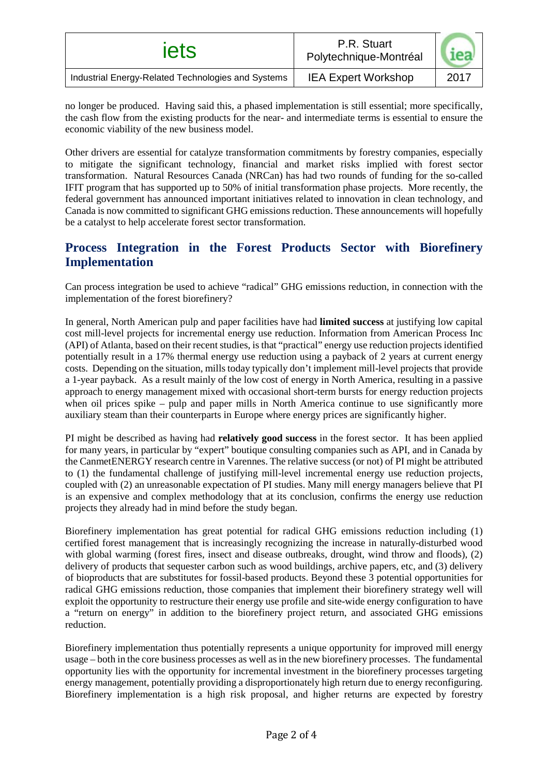| iets                                               | P.R. Stuart<br>Polytechnique-Montréal |      |
|----------------------------------------------------|---------------------------------------|------|
| Industrial Energy-Related Technologies and Systems | <b>IEA Expert Workshop</b>            | 2017 |

no longer be produced. Having said this, a phased implementation is still essential; more specifically, the cash flow from the existing products for the near- and intermediate terms is essential to ensure the economic viability of the new business model.

Other drivers are essential for catalyze transformation commitments by forestry companies, especially to mitigate the significant technology, financial and market risks implied with forest sector transformation. Natural Resources Canada (NRCan) has had two rounds of funding for the so-called IFIT program that has supported up to 50% of initial transformation phase projects. More recently, the federal government has announced important initiatives related to innovation in clean technology, and Canada is now committed to significant GHG emissions reduction. These announcements will hopefully be a catalyst to help accelerate forest sector transformation.

#### **Process Integration in the Forest Products Sector with Biorefinery Implementation**

Can process integration be used to achieve "radical" GHG emissions reduction, in connection with the implementation of the forest biorefinery?

In general, North American pulp and paper facilities have had **limited success** at justifying low capital cost mill-level projects for incremental energy use reduction. Information from American Process Inc (API) of Atlanta, based on their recent studies, is that "practical" energy use reduction projects identified potentially result in a 17% thermal energy use reduction using a payback of 2 years at current energy costs. Depending on the situation, mills today typically don't implement mill-level projects that provide a 1-year payback. As a result mainly of the low cost of energy in North America, resulting in a passive approach to energy management mixed with occasional short-term bursts for energy reduction projects when oil prices spike – pulp and paper mills in North America continue to use significantly more auxiliary steam than their counterparts in Europe where energy prices are significantly higher.

PI might be described as having had **relatively good success** in the forest sector. It has been applied for many years, in particular by "expert" boutique consulting companies such as API, and in Canada by the CanmetENERGY research centre in Varennes. The relative success (or not) of PI might be attributed to (1) the fundamental challenge of justifying mill-level incremental energy use reduction projects, coupled with (2) an unreasonable expectation of PI studies. Many mill energy managers believe that PI is an expensive and complex methodology that at its conclusion, confirms the energy use reduction projects they already had in mind before the study began.

Biorefinery implementation has great potential for radical GHG emissions reduction including (1) certified forest management that is increasingly recognizing the increase in naturally-disturbed wood with global warming (forest fires, insect and disease outbreaks, drought, wind throw and floods), (2) delivery of products that sequester carbon such as wood buildings, archive papers, etc, and (3) delivery of bioproducts that are substitutes for fossil-based products. Beyond these 3 potential opportunities for radical GHG emissions reduction, those companies that implement their biorefinery strategy well will exploit the opportunity to restructure their energy use profile and site-wide energy configuration to have a "return on energy" in addition to the biorefinery project return, and associated GHG emissions reduction.

Biorefinery implementation thus potentially represents a unique opportunity for improved mill energy usage – both in the core business processes as well as in the new biorefinery processes. The fundamental opportunity lies with the opportunity for incremental investment in the biorefinery processes targeting energy management, potentially providing a disproportionately high return due to energy reconfiguring. Biorefinery implementation is a high risk proposal, and higher returns are expected by forestry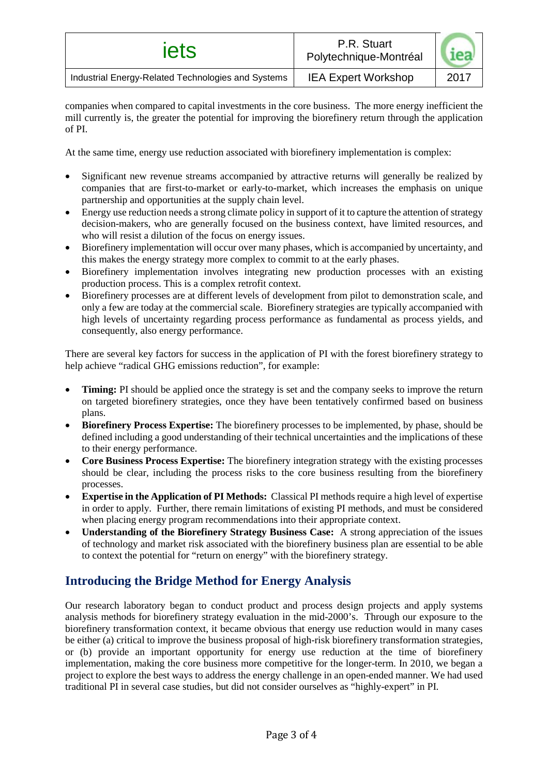| iets                                               | P.R. Stuart<br>Polytechnique-Montréal |      |
|----------------------------------------------------|---------------------------------------|------|
| Industrial Energy-Related Technologies and Systems | <b>IEA Expert Workshop</b>            | 2017 |

companies when compared to capital investments in the core business. The more energy inefficient the mill currently is, the greater the potential for improving the biorefinery return through the application of PI.

At the same time, energy use reduction associated with biorefinery implementation is complex:

- Significant new revenue streams accompanied by attractive returns will generally be realized by companies that are first-to-market or early-to-market, which increases the emphasis on unique partnership and opportunities at the supply chain level.
- Energy use reduction needs a strong climate policy in support of it to capture the attention of strategy decision-makers, who are generally focused on the business context, have limited resources, and who will resist a dilution of the focus on energy issues.
- Biorefinery implementation will occur over many phases, which is accompanied by uncertainty, and this makes the energy strategy more complex to commit to at the early phases.
- Biorefinery implementation involves integrating new production processes with an existing production process. This is a complex retrofit context.
- Biorefinery processes are at different levels of development from pilot to demonstration scale, and only a few are today at the commercial scale. Biorefinery strategies are typically accompanied with high levels of uncertainty regarding process performance as fundamental as process yields, and consequently, also energy performance.

There are several key factors for success in the application of PI with the forest biorefinery strategy to help achieve "radical GHG emissions reduction", for example:

- **Timing:** PI should be applied once the strategy is set and the company seeks to improve the return on targeted biorefinery strategies, once they have been tentatively confirmed based on business plans.
- **Biorefinery Process Expertise:** The biorefinery processes to be implemented, by phase, should be defined including a good understanding of their technical uncertainties and the implications of these to their energy performance.
- **Core Business Process Expertise:** The biorefinery integration strategy with the existing processes should be clear, including the process risks to the core business resulting from the biorefinery processes.
- **Expertise in the Application of PI Methods:** Classical PI methods require a high level of expertise in order to apply. Further, there remain limitations of existing PI methods, and must be considered when placing energy program recommendations into their appropriate context.
- **Understanding of the Biorefinery Strategy Business Case:** A strong appreciation of the issues of technology and market risk associated with the biorefinery business plan are essential to be able to context the potential for "return on energy" with the biorefinery strategy.

### **Introducing the Bridge Method for Energy Analysis**

Our research laboratory began to conduct product and process design projects and apply systems analysis methods for biorefinery strategy evaluation in the mid-2000's. Through our exposure to the biorefinery transformation context, it became obvious that energy use reduction would in many cases be either (a) critical to improve the business proposal of high-risk biorefinery transformation strategies, or (b) provide an important opportunity for energy use reduction at the time of biorefinery implementation, making the core business more competitive for the longer-term. In 2010, we began a project to explore the best ways to address the energy challenge in an open-ended manner. We had used traditional PI in several case studies, but did not consider ourselves as "highly-expert" in PI.